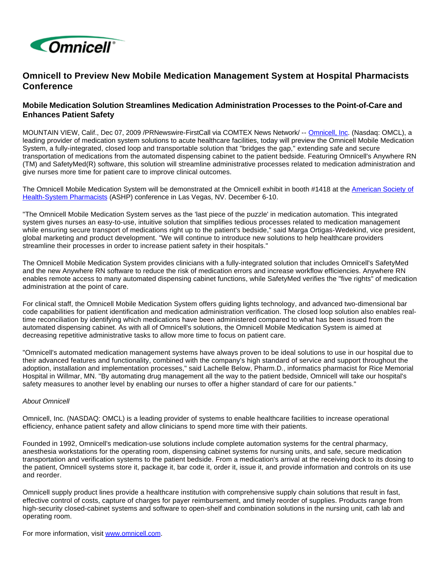

## **Omnicell to Preview New Mobile Medication Management System at Hospital Pharmacists Conference**

## **Mobile Medication Solution Streamlines Medication Administration Processes to the Point-of-Care and Enhances Patient Safety**

MOUNTAIN VIEW, Calif., Dec 07, 2009 /PRNewswire-FirstCall via COMTEX News Network/ -- [Omnicell, Inc.](http://www.omnicell.com/) (Nasdaq: OMCL), a leading provider of medication system solutions to acute healthcare facilities, today will preview the Omnicell Mobile Medication System, a fully-integrated, closed loop and transportable solution that "bridges the gap," extending safe and secure transportation of medications from the automated dispensing cabinet to the patient bedside. Featuring Omnicell's Anywhere RN (TM) and SafetyMed(R) software, this solution will streamline administrative processes related to medication administration and give nurses more time for patient care to improve clinical outcomes.

The Omnicell Mobile Medication System will be demonstrated at the Omnicell exhibit in booth #1418 at the [American Society of](http://www.ashp.org/Midyear2009)  [Health-System Pharmacists](http://www.ashp.org/Midyear2009) (ASHP) conference in Las Vegas, NV. December 6-10.

"The Omnicell Mobile Medication System serves as the 'last piece of the puzzle' in medication automation. This integrated system gives nurses an easy-to-use, intuitive solution that simplifies tedious processes related to medication management while ensuring secure transport of medications right up to the patient's bedside," said Marga Ortigas-Wedekind, vice president, global marketing and product development. "We will continue to introduce new solutions to help healthcare providers streamline their processes in order to increase patient safety in their hospitals."

The Omnicell Mobile Medication System provides clinicians with a fully-integrated solution that includes Omnicell's SafetyMed and the new Anywhere RN software to reduce the risk of medication errors and increase workflow efficiencies. Anywhere RN enables remote access to many automated dispensing cabinet functions, while SafetyMed verifies the "five rights" of medication administration at the point of care.

For clinical staff, the Omnicell Mobile Medication System offers guiding lights technology, and advanced two-dimensional bar code capabilities for patient identification and medication administration verification. The closed loop solution also enables realtime reconciliation by identifying which medications have been administered compared to what has been issued from the automated dispensing cabinet. As with all of Omnicell's solutions, the Omnicell Mobile Medication System is aimed at decreasing repetitive administrative tasks to allow more time to focus on patient care.

"Omnicell's automated medication management systems have always proven to be ideal solutions to use in our hospital due to their advanced features and functionality, combined with the company's high standard of service and support throughout the adoption, installation and implementation processes," said Lachelle Below, Pharm.D., informatics pharmacist for Rice Memorial Hospital in Willmar, MN. "By automating drug management all the way to the patient bedside, Omnicell will take our hospital's safety measures to another level by enabling our nurses to offer a higher standard of care for our patients."

## About Omnicell

Omnicell, Inc. (NASDAQ: OMCL) is a leading provider of systems to enable healthcare facilities to increase operational efficiency, enhance patient safety and allow clinicians to spend more time with their patients.

Founded in 1992, Omnicell's medication-use solutions include complete automation systems for the central pharmacy, anesthesia workstations for the operating room, dispensing cabinet systems for nursing units, and safe, secure medication transportation and verification systems to the patient bedside. From a medication's arrival at the receiving dock to its dosing to the patient, Omnicell systems store it, package it, bar code it, order it, issue it, and provide information and controls on its use and reorder.

Omnicell supply product lines provide a healthcare institution with comprehensive supply chain solutions that result in fast, effective control of costs, capture of charges for payer reimbursement, and timely reorder of supplies. Products range from high-security closed-cabinet systems and software to open-shelf and combination solutions in the nursing unit, cath lab and operating room.